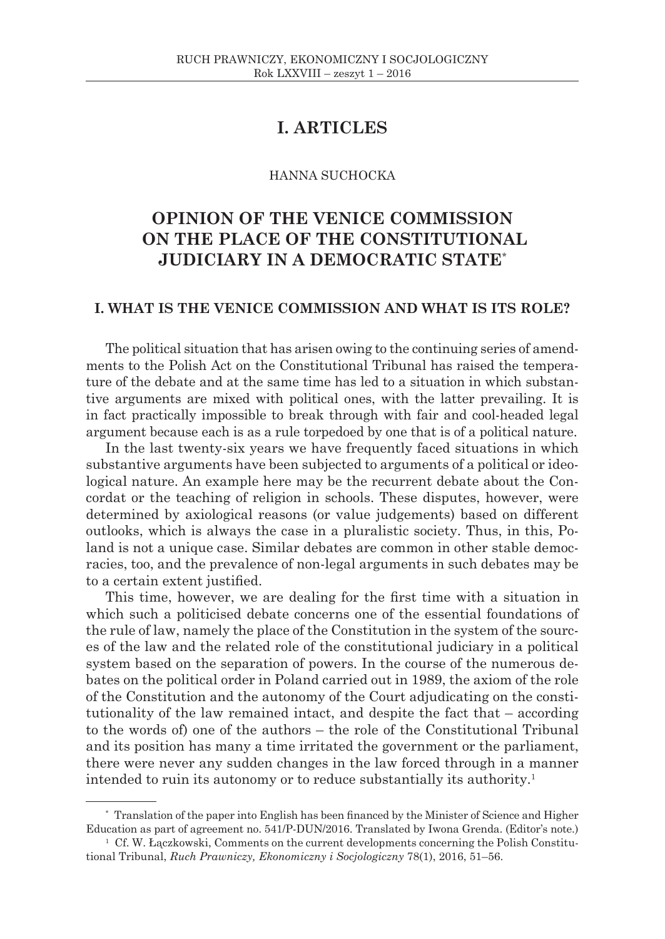## **I. ARTICLES**

#### HANNA SUCHOCKA

# **OPINION OF THE VENICE COMMISSION ON THE PLACE OF THE CONSTITUTIONAL JUDICIARY IN A DEMOCRATIC STATE**\*

## **I. WHAT IS THE VENICE COMMISSION AND WHAT IS ITS ROLE?**

The political situation that has arisen owing to the continuing series of amendments to the Polish Act on the Constitutional Tribunal has raised the temperature of the debate and at the same time has led to a situation in which substantive arguments are mixed with political ones, with the latter prevailing. It is in fact practically impossible to break through with fair and cool-headed legal argument because each is as a rule torpedoed by one that is of a political nature.

In the last twenty-six years we have frequently faced situations in which substantive arguments have been subjected to arguments of a political or ideological nature. An example here may be the recurrent debate about the Concordat or the teaching of religion in schools. These disputes, however, were determined by axiological reasons (or value judgements) based on different outlooks, which is always the case in a pluralistic society. Thus, in this, Poland is not a unique case. Similar debates are common in other stable democracies, too, and the prevalence of non-legal arguments in such debates may be to a certain extent justified.

This time, however, we are dealing for the first time with a situation in which such a politicised debate concerns one of the essential foundations of the rule of law, namely the place of the Constitution in the system of the sources of the law and the related role of the constitutional judiciary in a political system based on the separation of powers. In the course of the numerous debates on the political order in Poland carried out in 1989, the axiom of the role of the Constitution and the autonomy of the Court adjudicating on the constitutionality of the law remained intact, and despite the fact that – according to the words of) one of the authors – the role of the Constitutional Tribunal and its position has many a time irritated the government or the parliament, there were never any sudden changes in the law forced through in a manner intended to ruin its autonomy or to reduce substantially its authority.1

<sup>\*</sup> Translation of the paper into English has been financed by the Minister of Science and Higher Education as part of agreement no. 541/P-DUN/2016. Translated by Iwona Grenda. (Editor's note.)

 $1 \text{ }$  Cf. W. Łączkowski, Comments on the current developments concerning the Polish Constitutional Tribunal, *Ruch Prawniczy, Ekonomiczny i Socjologiczny* 78(1), 2016, 51–56.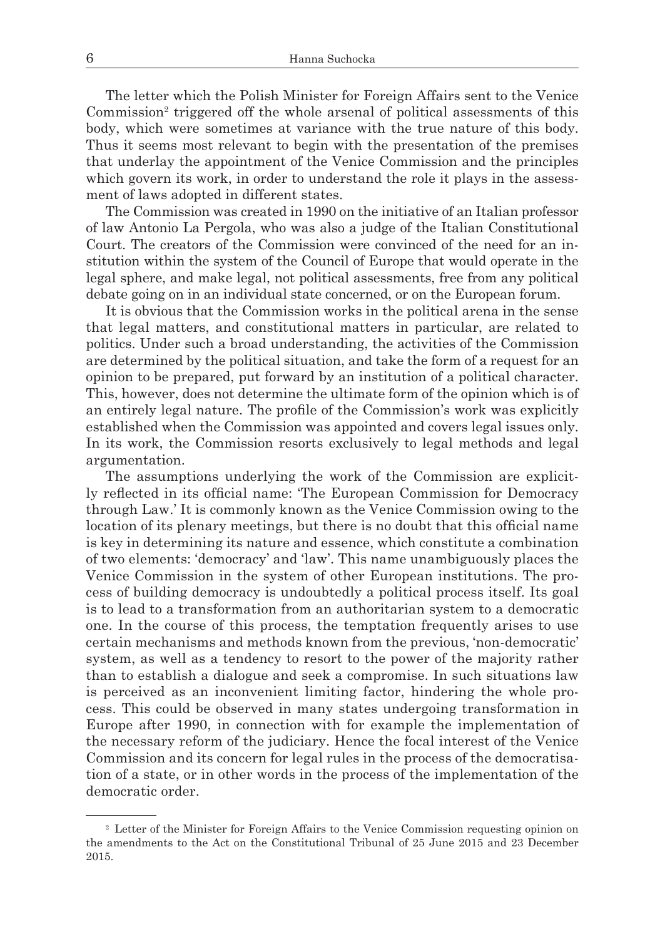The letter which the Polish Minister for Foreign Affairs sent to the Venice Commission<sup>2</sup> triggered off the whole arsenal of political assessments of this body, which were sometimes at variance with the true nature of this body. Thus it seems most relevant to begin with the presentation of the premises that underlay the appointment of the Venice Commission and the principles which govern its work, in order to understand the role it plays in the assessment of laws adopted in different states.

The Commission was created in 1990 on the initiative of an Italian professor of law Antonio La Pergola, who was also a judge of the Italian Constitutional Court. The creators of the Commission were convinced of the need for an institution within the system of the Council of Europe that would operate in the legal sphere, and make legal, not political assessments, free from any political debate going on in an individual state concerned, or on the European forum.

It is obvious that the Commission works in the political arena in the sense that legal matters, and constitutional matters in particular, are related to politics. Under such a broad understanding, the activities of the Commission are determined by the political situation, and take the form of a request for an opinion to be prepared, put forward by an institution of a political character. This, however, does not determine the ultimate form of the opinion which is of an entirely legal nature. The profile of the Commission's work was explicitly established when the Commission was appointed and covers legal issues only. In its work, the Commission resorts exclusively to legal methods and legal argumentation.

The assumptions underlying the work of the Commission are explicitly reflected in its official name: 'The European Commission for Democracy through Law.' It is commonly known as the Venice Commission owing to the location of its plenary meetings, but there is no doubt that this official name is key in determining its nature and essence, which constitute a combination of two elements: 'democracy' and 'law'. This name unambiguously places the Venice Commission in the system of other European institutions. The process of building democracy is undoubtedly a political process itself. Its goal is to lead to a transformation from an authoritarian system to a democratic one. In the course of this process, the temptation frequently arises to use certain mechanisms and methods known from the previous, 'non-democratic' system, as well as a tendency to resort to the power of the majority rather than to establish a dialogue and seek a compromise. In such situations law is perceived as an inconvenient limiting factor, hindering the whole process. This could be observed in many states undergoing transformation in Europe after 1990, in connection with for example the implementation of the necessary reform of the judiciary. Hence the focal interest of the Venice Commission and its concern for legal rules in the process of the democratisation of a state, or in other words in the process of the implementation of the democratic order.

<sup>2</sup> Letter of the Minister for Foreign Affairs to the Venice Commission requesting opinion on the amendments to the Act on the Constitutional Tribunal of 25 June 2015 and 23 December 2015.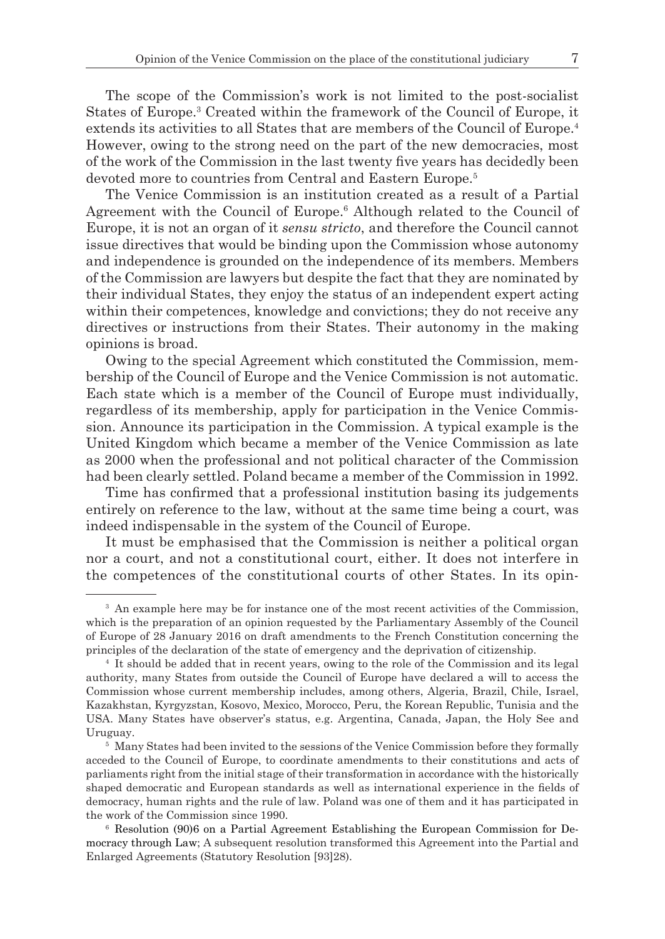The scope of the Commission's work is not limited to the post-socialist States of Europe.<sup>3</sup> Created within the framework of the Council of Europe, it extends its activities to all States that are members of the Council of Europe.4 However, owing to the strong need on the part of the new democracies, most of the work of the Commission in the last twenty five years has decidedly been devoted more to countries from Central and Eastern Europe.<sup>5</sup>

The Venice Commission is an institution created as a result of a Partial Agreement with the Council of Europe.<sup>6</sup> Although related to the Council of Europe, it is not an organ of it *sensu stricto*, and therefore the Council cannot issue directives that would be binding upon the Commission whose autonomy and independence is grounded on the independence of its members. Members of the Commission are lawyers but despite the fact that they are nominated by their individual States, they enjoy the status of an independent expert acting within their competences, knowledge and convictions; they do not receive any directives or instructions from their States. Their autonomy in the making opinions is broad.

Owing to the special Agreement which constituted the Commission, membership of the Council of Europe and the Venice Commission is not automatic. Each state which is a member of the Council of Europe must individually, regardless of its membership, apply for participation in the Venice Commission. Announce its participation in the Commission. A typical example is the United Kingdom which became a member of the Venice Commission as late as 2000 when the professional and not political character of the Commission had been clearly settled. Poland became a member of the Commission in 1992.

Time has confirmed that a professional institution basing its judgements entirely on reference to the law, without at the same time being a court, was indeed indispensable in the system of the Council of Europe.

It must be emphasised that the Commission is neither a political organ nor a court, and not a constitutional court, either. It does not interfere in the competences of the constitutional courts of other States. In its opin-

<sup>&</sup>lt;sup>3</sup> An example here may be for instance one of the most recent activities of the Commission, which is the preparation of an opinion requested by the Parliamentary Assembly of the Council of Europe of 28 January 2016 on draft amendments to the French Constitution concerning the principles of the declaration of the state of emergency and the deprivation of citizenship.

<sup>4</sup> It should be added that in recent years, owing to the role of the Commission and its legal authority, many States from outside the Council of Europe have declared a will to access the Commission whose current membership includes, among others, Algeria, Brazil, Chile, Israel, Kazakhstan, Kyrgyzstan, Kosovo, Mexico, Morocco, Peru, the Korean Republic, Tunisia and the USA. Many States have observer's status, e.g. Argentina, Canada, Japan, the Holy See and Uruguay. 5 Many States had been invited to the sessions of the Venice Commission before they formally

acceded to the Council of Europe, to coordinate amendments to their constitutions and acts of parliaments right from the initial stage of their transformation in accordance with the historically shaped democratic and European standards as well as international experience in the fields of democracy, human rights and the rule of law. Poland was one of them and it has participated in the work of the Commission since 1990.

<sup>6</sup> Resolution (90)6 on a Partial Agreement Establishing the European Commission for Democracy through Law; A subsequent resolution transformed this Agreement into the Partial and Enlarged Agreements (Statutory Resolution [93]28).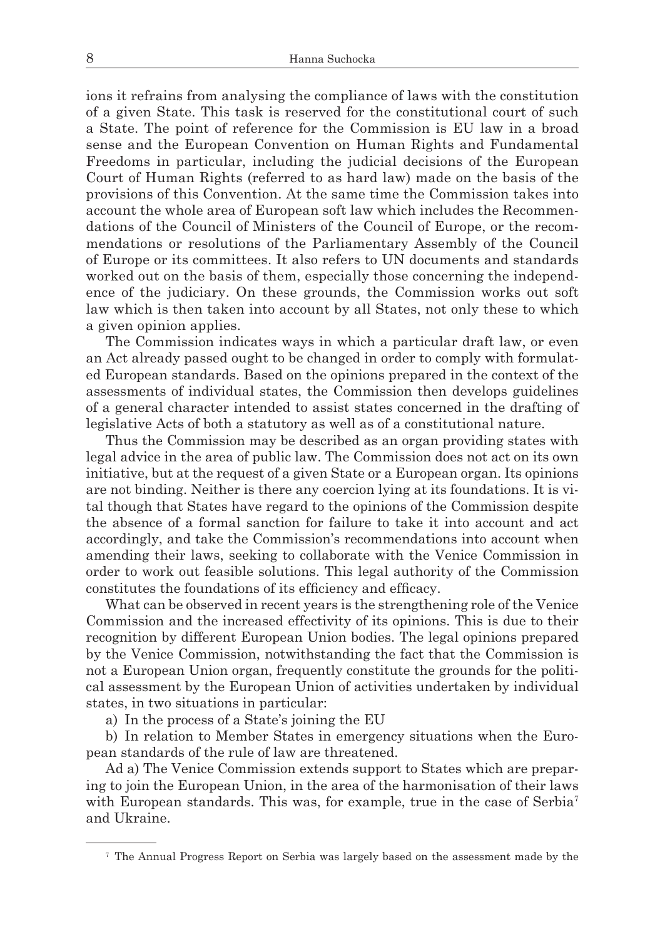ions it refrains from analysing the compliance of laws with the constitution of a given State. This task is reserved for the constitutional court of such a State. The point of reference for the Commission is EU law in a broad sense and the European Convention on Human Rights and Fundamental Freedoms in particular, including the judicial decisions of the European Court of Human Rights (referred to as hard law) made on the basis of the provisions of this Convention. At the same time the Commission takes into account the whole area of European soft law which includes the Recommendations of the Council of Ministers of the Council of Europe, or the recommendations or resolutions of the Parliamentary Assembly of the Council of Europe or its committees. It also refers to UN documents and standards worked out on the basis of them, especially those concerning the independence of the judiciary. On these grounds, the Commission works out soft law which is then taken into account by all States, not only these to which a given opinion applies.

The Commission indicates ways in which a particular draft law, or even an Act already passed ought to be changed in order to comply with formulated European standards. Based on the opinions prepared in the context of the assessments of individual states, the Commission then develops guidelines of a general character intended to assist states concerned in the drafting of legislative Acts of both a statutory as well as of a constitutional nature.

Thus the Commission may be described as an organ providing states with legal advice in the area of public law. The Commission does not act on its own initiative, but at the request of a given State or a European organ. Its opinions are not binding. Neither is there any coercion lying at its foundations. It is vital though that States have regard to the opinions of the Commission despite the absence of a formal sanction for failure to take it into account and act accordingly, and take the Commission's recommendations into account when amending their laws, seeking to collaborate with the Venice Commission in order to work out feasible solutions. This legal authority of the Commission constitutes the foundations of its efficiency and efficacy.

What can be observed in recent years is the strengthening role of the Venice Commission and the increased effectivity of its opinions. This is due to their recognition by different European Union bodies. The legal opinions prepared by the Venice Commission, notwithstanding the fact that the Commission is not a European Union organ, frequently constitute the grounds for the political assessment by the European Union of activities undertaken by individual states, in two situations in particular:

a) In the process of a State's joining the EU

b) In relation to Member States in emergency situations when the European standards of the rule of law are threatened.

Ad a) The Venice Commission extends support to States which are preparing to join the European Union, in the area of the harmonisation of their laws with European standards. This was, for example, true in the case of Serbia<sup>7</sup> and Ukraine.

<sup>7</sup> The Annual Progress Report on Serbia was largely based on the assessment made by the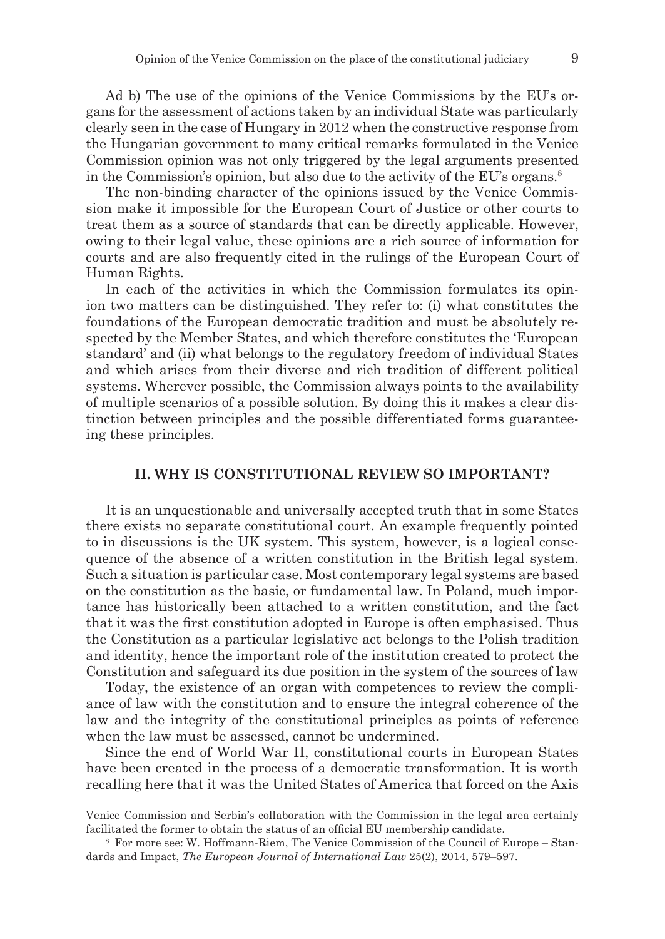Ad b) The use of the opinions of the Venice Commissions by the EU's organs for the assessment of actions taken by an individual State was particularly clearly seen in the case of Hungary in 2012 when the constructive response from the Hungarian government to many critical remarks formulated in the Venice Commission opinion was not only triggered by the legal arguments presented in the Commission's opinion, but also due to the activity of the EU's organs.<sup>8</sup>

The non-binding character of the opinions issued by the Venice Commission make it impossible for the European Court of Justice or other courts to treat them as a source of standards that can be directly applicable. However, owing to their legal value, these opinions are a rich source of information for courts and are also frequently cited in the rulings of the European Court of Human Rights.

In each of the activities in which the Commission formulates its opinion two matters can be distinguished. They refer to: (i) what constitutes the foundations of the European democratic tradition and must be absolutely respected by the Member States, and which therefore constitutes the 'European standard' and (ii) what belongs to the regulatory freedom of individual States and which arises from their diverse and rich tradition of different political systems. Wherever possible, the Commission always points to the availability of multiple scenarios of a possible solution. By doing this it makes a clear distinction between principles and the possible differentiated forms guaranteeing these principles.

### **II. WHY IS CONSTITUTIONAL REVIEW SO IMPORTANT?**

It is an unquestionable and universally accepted truth that in some States there exists no separate constitutional court. An example frequently pointed to in discussions is the UK system. This system, however, is a logical consequence of the absence of a written constitution in the British legal system. Such a situation is particular case. Most contemporary legal systems are based on the constitution as the basic, or fundamental law. In Poland, much importance has historically been attached to a written constitution, and the fact that it was the first constitution adopted in Europe is often emphasised. Thus the Constitution as a particular legislative act belongs to the Polish tradition and identity, hence the important role of the institution created to protect the Constitution and safeguard its due position in the system of the sources of law

Today, the existence of an organ with competences to review the compliance of law with the constitution and to ensure the integral coherence of the law and the integrity of the constitutional principles as points of reference when the law must be assessed, cannot be undermined.

Since the end of World War II, constitutional courts in European States have been created in the process of a democratic transformation. It is worth recalling here that it was the United States of America that forced on the Axis

Venice Commission and Serbia's collaboration with the Commission in the legal area certainly facilitated the former to obtain the status of an official EU membership candidate.

<sup>8</sup> For more see: W. Hoffmann-Riem, The Venice Commission of the Council of Europe – Standards and Impact, *The European Journal of International Law* 25(2), 2014, 579–597.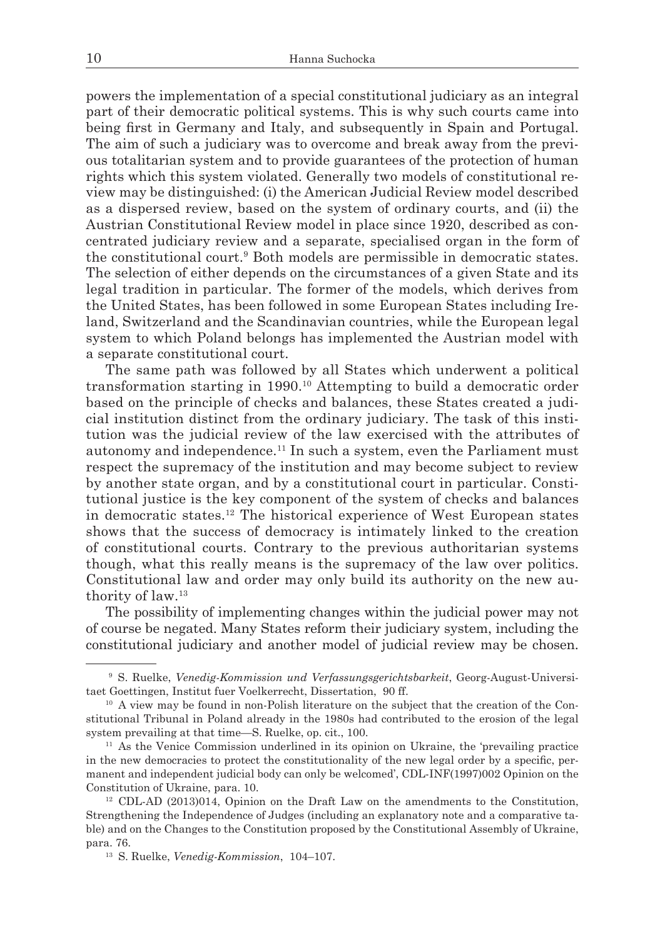powers the implementation of a special constitutional judiciary as an integral part of their democratic political systems. This is why such courts came into being first in Germany and Italy, and subsequently in Spain and Portugal. The aim of such a judiciary was to overcome and break away from the previous totalitarian system and to provide guarantees of the protection of human rights which this system violated. Generally two models of constitutional review may be distinguished: (i) the American Judicial Review model described as a dispersed review, based on the system of ordinary courts, and (ii) the Austrian Constitutional Review model in place since 1920, described as concentrated judiciary review and a separate, specialised organ in the form of the constitutional court.9 Both models are permissible in democratic states. The selection of either depends on the circumstances of a given State and its legal tradition in particular. The former of the models, which derives from the United States, has been followed in some European States including Ireland, Switzerland and the Scandinavian countries, while the European legal system to which Poland belongs has implemented the Austrian model with a separate constitutional court.

The same path was followed by all States which underwent a political transformation starting in 1990.10 Attempting to build a democratic order based on the principle of checks and balances, these States created a judicial institution distinct from the ordinary judiciary. The task of this institution was the judicial review of the law exercised with the attributes of autonomy and independence.11 In such a system, even the Parliament must respect the supremacy of the institution and may become subject to review by another state organ, and by a constitutional court in particular. Constitutional justice is the key component of the system of checks and balances in democratic states.12 The historical experience of West European states shows that the success of democracy is intimately linked to the creation of constitutional courts. Contrary to the previous authoritarian systems though, what this really means is the supremacy of the law over politics. Constitutional law and order may only build its authority on the new authority of law.13

The possibility of implementing changes within the judicial power may not of course be negated. Many States reform their judiciary system, including the constitutional judiciary and another model of judicial review may be chosen.

<sup>9</sup> S. Ruelke, *Venedig-Kommission und Verfassungsgerichtsbarkeit*, Georg-August-Universitaet Goettingen, Institut fuer Voelkerrecht, Dissertation, 90 ff.

<sup>10</sup> A view may be found in non-Polish literature on the subject that the creation of the Constitutional Tribunal in Poland already in the 1980s had contributed to the erosion of the legal system prevailing at that time—S. Ruelke, op. cit., 100.

<sup>11</sup> As the Venice Commission underlined in its opinion on Ukraine, the 'prevailing practice in the new democracies to protect the constitutionality of the new legal order by a specific, permanent and independent judicial body can only be welcomed', CDL-INF(1997)002 Opinion on the Constitution of Ukraine, para. 10.

<sup>12</sup> CDL-AD (2013)014, Opinion on the Draft Law on the amendments to the Constitution, Strengthening the Independence of Judges (including an explanatory note and a comparative table) and on the Changes to the Constitution proposed by the Constitutional Assembly of Ukraine, para. 76.

<sup>13</sup> S. Ruelke, *Venedig-Kommission*, 104–107.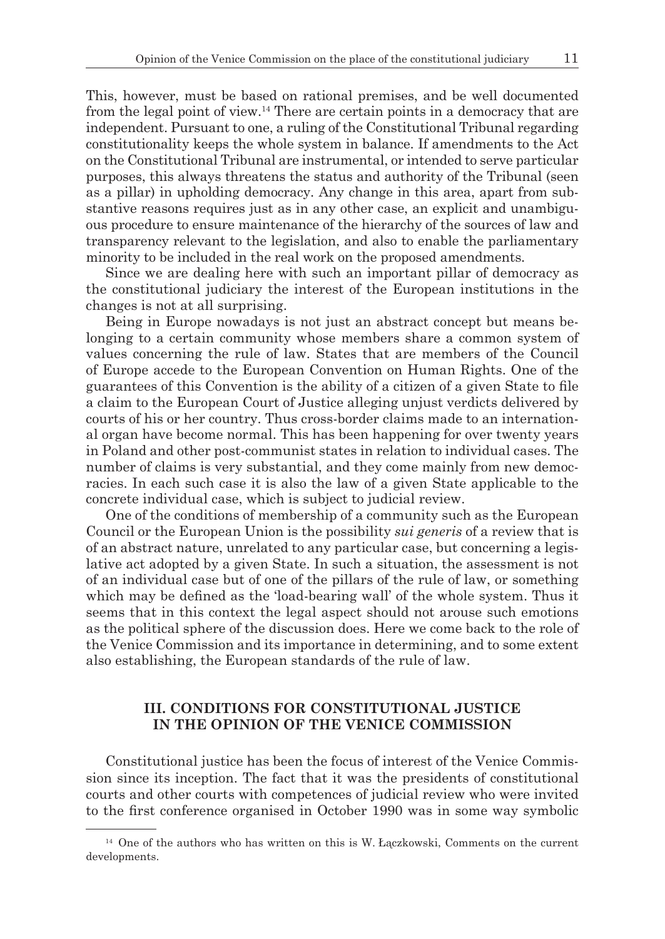This, however, must be based on rational premises, and be well documented from the legal point of view.14 There are certain points in a democracy that are independent. Pursuant to one, a ruling of the Constitutional Tribunal regarding constitutionality keeps the whole system in balance. If amendments to the Act on the Constitutional Tribunal are instrumental, or intended to serve particular purposes, this always threatens the status and authority of the Tribunal (seen as a pillar) in upholding democracy. Any change in this area, apart from substantive reasons requires just as in any other case, an explicit and unambiguous procedure to ensure maintenance of the hierarchy of the sources of law and transparency relevant to the legislation, and also to enable the parliamentary minority to be included in the real work on the proposed amendments.

Since we are dealing here with such an important pillar of democracy as the constitutional judiciary the interest of the European institutions in the changes is not at all surprising.

Being in Europe nowadays is not just an abstract concept but means belonging to a certain community whose members share a common system of values concerning the rule of law. States that are members of the Council of Europe accede to the European Convention on Human Rights. One of the guarantees of this Convention is the ability of a citizen of a given State to file a claim to the European Court of Justice alleging unjust verdicts delivered by courts of his or her country. Thus cross-border claims made to an international organ have become normal. This has been happening for over twenty years in Poland and other post-communist states in relation to individual cases. The number of claims is very substantial, and they come mainly from new democracies. In each such case it is also the law of a given State applicable to the concrete individual case, which is subject to judicial review.

One of the conditions of membership of a community such as the European Council or the European Union is the possibility *sui generis* of a review that is of an abstract nature, unrelated to any particular case, but concerning a legislative act adopted by a given State. In such a situation, the assessment is not of an individual case but of one of the pillars of the rule of law, or something which may be defined as the 'load-bearing wall' of the whole system. Thus it seems that in this context the legal aspect should not arouse such emotions as the political sphere of the discussion does. Here we come back to the role of the Venice Commission and its importance in determining, and to some extent also establishing, the European standards of the rule of law.

## **III. CONDITIONS FOR CONSTITUTIONAL JUSTICE IN THE OPINION OF THE VENICE COMMISSION**

Constitutional justice has been the focus of interest of the Venice Commission since its inception. The fact that it was the presidents of constitutional courts and other courts with competences of judicial review who were invited to the first conference organised in October 1990 was in some way symbolic

<sup>&</sup>lt;sup>14</sup> One of the authors who has written on this is W. Łączkowski, Comments on the current developments.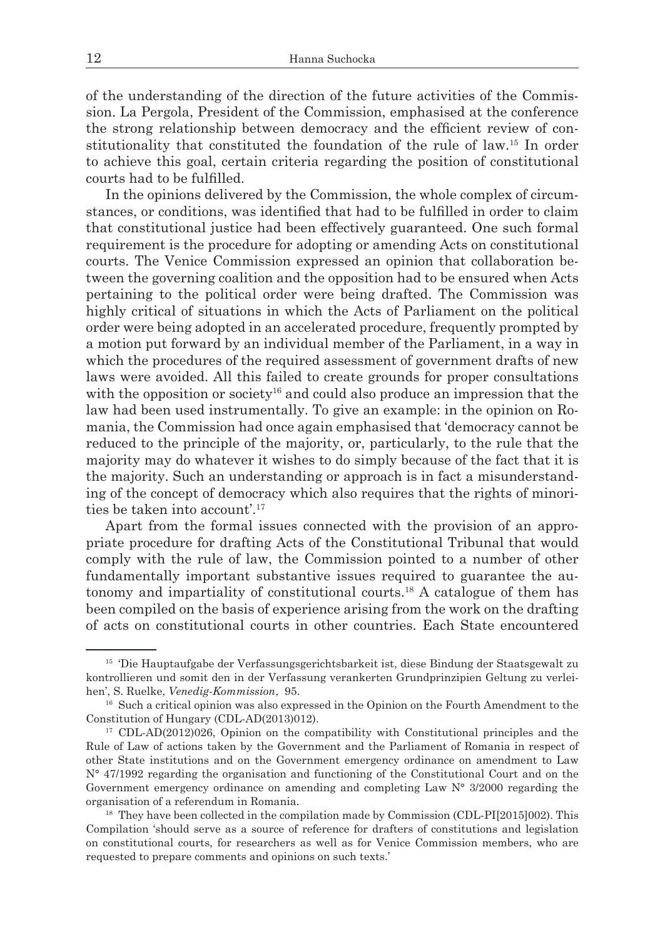of the understanding of the direction of the future activities of the Commission. La Pergola, President of the Commission, emphasised at the conference the strong relationship between democracy and the efficient review of constitutionality that constituted the foundation of the rule of law.15 In order to achieve this goal, certain criteria regarding the position of constitutional courts had to be fulfilled.

In the opinions delivered by the Commission, the whole complex of circumstances, or conditions, was identified that had to be fulfilled in order to claim that constitutional justice had been effectively guaranteed. One such formal requirement is the procedure for adopting or amending Acts on constitutional courts. The Venice Commission expressed an opinion that collaboration between the governing coalition and the opposition had to be ensured when Acts pertaining to the political order were being drafted. The Commission was highly critical of situations in which the Acts of Parliament on the political order were being adopted in an accelerated procedure, frequently prompted by a motion put forward by an individual member of the Parliament, in a way in which the procedures of the required assessment of government drafts of new laws were avoided. All this failed to create grounds for proper consultations with the opposition or society<sup>16</sup> and could also produce an impression that the law had been used instrumentally. To give an example: in the opinion on Romania, the Commission had once again emphasised that 'democracy cannot be reduced to the principle of the majority, or, particularly, to the rule that the majority may do whatever it wishes to do simply because of the fact that it is the majority. Such an understanding or approach is in fact a misunderstanding of the concept of democracy which also requires that the rights of minorities be taken into account'.17

Apart from the formal issues connected with the provision of an appropriate procedure for drafting Acts of the Constitutional Tribunal that would comply with the rule of law, the Commission pointed to a number of other fundamentally important substantive issues required to guarantee the autonomy and impartiality of constitutional courts.18 A catalogue of them has been compiled on the basis of experience arising from the work on the drafting of acts on constitutional courts in other countries. Each State encountered

<sup>15</sup> 'Die Hauptaufgabe der Verfassungsgerichtsbarkeit ist, diese Bindung der Staatsgewalt zu kontrollieren und somit den in der Verfassung verankerten Grundprinzipien Geltung zu verleihen', S. Ruelke, *Venedig-Kommission*, 95.

<sup>&</sup>lt;sup>16</sup> Such a critical opinion was also expressed in the Opinion on the Fourth Amendment to the Constitution of Hungary (CDL-AD(2013)012).

<sup>&</sup>lt;sup>17</sup> CDL-AD(2012)026, Opinion on the compatibility with Constitutional principles and the Rule of Law of actions taken by the Government and the Parliament of Romania in respect of other State institutions and on the Government emergency ordinance on amendment to Law N° 47/1992 regarding the organisation and functioning of the Constitutional Court and on the Government emergency ordinance on amending and completing Law N° 3/2000 regarding the organisation of a referendum in Romania.

<sup>&</sup>lt;sup>18</sup> They have been collected in the compilation made by Commission (CDL-PI[2015]002). This Compilation 'should serve as a source of reference for drafters of constitutions and legislation on constitutional courts, for researchers as well as for Venice Commission members, who are requested to prepare comments and opinions on such texts.'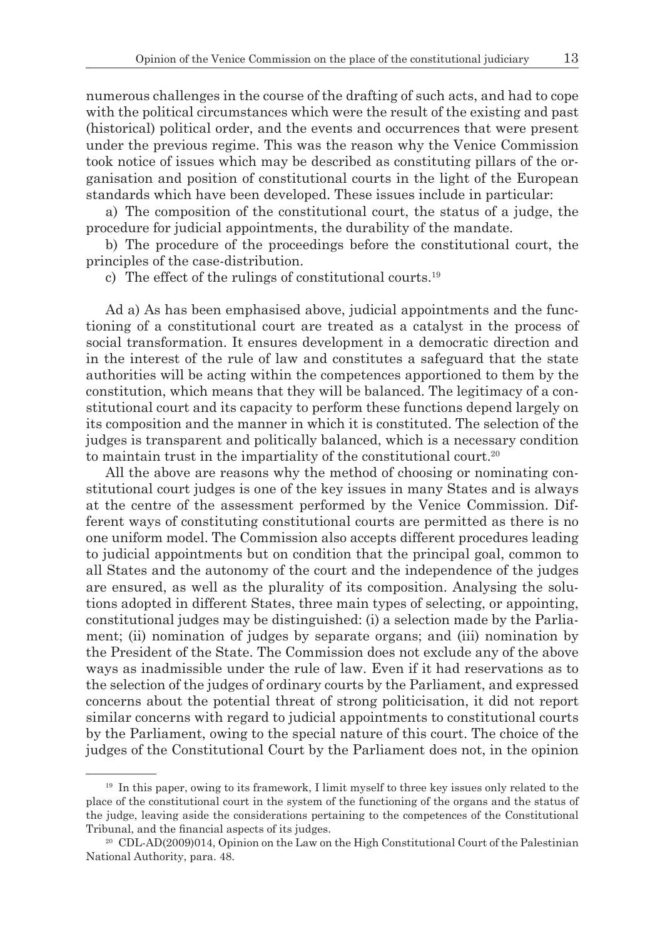numerous challenges in the course of the drafting of such acts, and had to cope with the political circumstances which were the result of the existing and past (historical) political order, and the events and occurrences that were present under the previous regime. This was the reason why the Venice Commission took notice of issues which may be described as constituting pillars of the organisation and position of constitutional courts in the light of the European standards which have been developed. These issues include in particular:

a) The composition of the constitutional court, the status of a judge, the procedure for judicial appointments, the durability of the mandate.

b) The procedure of the proceedings before the constitutional court, the principles of the case-distribution.

c) The effect of the rulings of constitutional courts.<sup>19</sup>

Ad a) As has been emphasised above, judicial appointments and the functioning of a constitutional court are treated as a catalyst in the process of social transformation. It ensures development in a democratic direction and in the interest of the rule of law and constitutes a safeguard that the state authorities will be acting within the competences apportioned to them by the constitution, which means that they will be balanced. The legitimacy of a constitutional court and its capacity to perform these functions depend largely on its composition and the manner in which it is constituted. The selection of the judges is transparent and politically balanced, which is a necessary condition to maintain trust in the impartiality of the constitutional court.<sup>20</sup>

All the above are reasons why the method of choosing or nominating constitutional court judges is one of the key issues in many States and is always at the centre of the assessment performed by the Venice Commission. Different ways of constituting constitutional courts are permitted as there is no one uniform model. The Commission also accepts different procedures leading to judicial appointments but on condition that the principal goal, common to all States and the autonomy of the court and the independence of the judges are ensured, as well as the plurality of its composition. Analysing the solutions adopted in different States, three main types of selecting, or appointing, constitutional judges may be distinguished: (i) a selection made by the Parliament; (ii) nomination of judges by separate organs; and (iii) nomination by the President of the State. The Commission does not exclude any of the above ways as inadmissible under the rule of law. Even if it had reservations as to the selection of the judges of ordinary courts by the Parliament, and expressed concerns about the potential threat of strong politicisation, it did not report similar concerns with regard to judicial appointments to constitutional courts by the Parliament, owing to the special nature of this court. The choice of the judges of the Constitutional Court by the Parliament does not, in the opinion

<sup>&</sup>lt;sup>19</sup> In this paper, owing to its framework, I limit myself to three key issues only related to the place of the constitutional court in the system of the functioning of the organs and the status of the judge, leaving aside the considerations pertaining to the competences of the Constitutional Tribunal, and the financial aspects of its judges.

<sup>&</sup>lt;sup>20</sup> CDL-AD(2009)014, Opinion on the Law on the High Constitutional Court of the Palestinian National Authority, para. 48.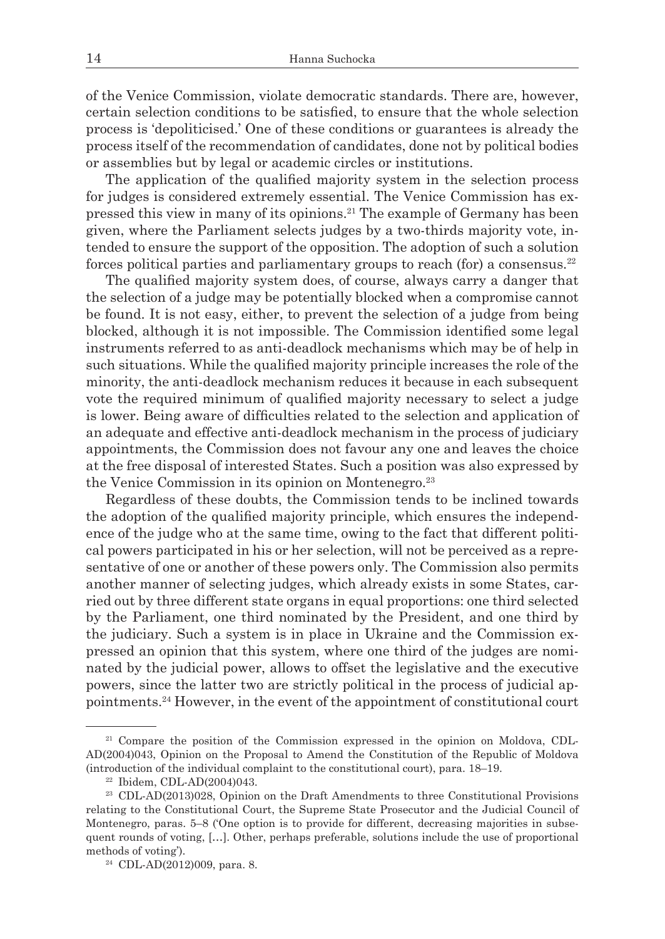of the Venice Commission, violate democratic standards. There are, however, certain selection conditions to be satisfied, to ensure that the whole selection process is 'depoliticised.' One of these conditions or guarantees is already the process itself of the recommendation of candidates, done not by political bodies or assemblies but by legal or academic circles or institutions.

The application of the qualified majority system in the selection process for judges is considered extremely essential. The Venice Commission has expressed this view in many of its opinions.21 The example of Germany has been given, where the Parliament selects judges by a two-thirds majority vote, intended to ensure the support of the opposition. The adoption of such a solution forces political parties and parliamentary groups to reach (for) a consensus.<sup>22</sup>

The qualified majority system does, of course, always carry a danger that the selection of a judge may be potentially blocked when a compromise cannot be found. It is not easy, either, to prevent the selection of a judge from being blocked, although it is not impossible. The Commission identified some legal instruments referred to as anti-deadlock mechanisms which may be of help in such situations. While the qualified majority principle increases the role of the minority, the anti-deadlock mechanism reduces it because in each subsequent vote the required minimum of qualified majority necessary to select a judge is lower. Being aware of difficulties related to the selection and application of an adequate and effective anti-deadlock mechanism in the process of judiciary appointments, the Commission does not favour any one and leaves the choice at the free disposal of interested States. Such a position was also expressed by the Venice Commission in its opinion on Montenegro.<sup>23</sup>

Regardless of these doubts, the Commission tends to be inclined towards the adoption of the qualified majority principle, which ensures the independence of the judge who at the same time, owing to the fact that different political powers participated in his or her selection, will not be perceived as a representative of one or another of these powers only. The Commission also permits another manner of selecting judges, which already exists in some States, carried out by three different state organs in equal proportions: one third selected by the Parliament, one third nominated by the President, and one third by the judiciary. Such a system is in place in Ukraine and the Commission expressed an opinion that this system, where one third of the judges are nominated by the judicial power, allows to offset the legislative and the executive powers, since the latter two are strictly political in the process of judicial appointments.24 However, in the event of the appointment of constitutional court

<sup>21</sup> Compare the position of the Commission expressed in the opinion on Moldova, CDL-AD(2004)043, Opinion on the Proposal to Amend the Constitution of the Republic of Moldova (introduction of the individual complaint to the constitutional court), para.  $18-19$ .  $^{22}$  Ibidem, CDL-AD(2004)043.

<sup>23</sup> CDL-AD(2013)028, Opinion on the Draft Amendments to three Constitutional Provisions relating to the Constitutional Court, the Supreme State Prosecutor and the Judicial Council of Montenegro, paras. 5–8 ('One option is to provide for different, decreasing majorities in subsequent rounds of voting, […]. Other, perhaps preferable, solutions include the use of proportional methods of voting').

<sup>24</sup> CDL-AD(2012)009, para. 8.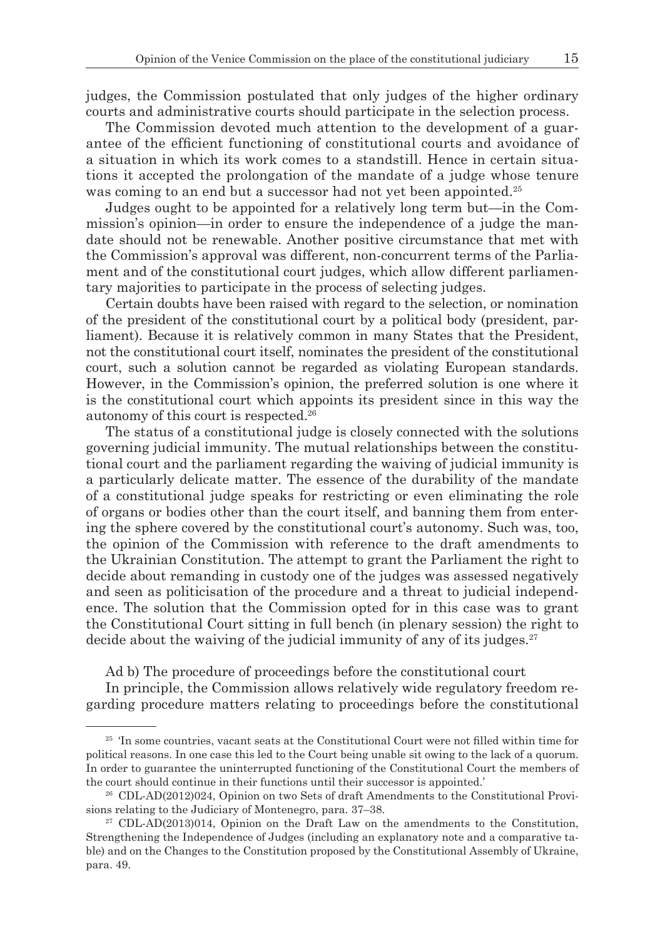judges, the Commission postulated that only judges of the higher ordinary courts and administrative courts should participate in the selection process.

The Commission devoted much attention to the development of a guarantee of the efficient functioning of constitutional courts and avoidance of a situation in which its work comes to a standstill. Hence in certain situations it accepted the prolongation of the mandate of a judge whose tenure was coming to an end but a successor had not yet been appointed.<sup>25</sup>

Judges ought to be appointed for a relatively long term but—in the Commission's opinion—in order to ensure the independence of a judge the mandate should not be renewable. Another positive circumstance that met with the Commission's approval was different, non-concurrent terms of the Parliament and of the constitutional court judges, which allow different parliamentary majorities to participate in the process of selecting judges.

Certain doubts have been raised with regard to the selection, or nomination of the president of the constitutional court by a political body (president, parliament). Because it is relatively common in many States that the President, not the constitutional court itself, nominates the president of the constitutional court, such a solution cannot be regarded as violating European standards. However, in the Commission's opinion, the preferred solution is one where it is the constitutional court which appoints its president since in this way the autonomy of this court is respected.26

The status of a constitutional judge is closely connected with the solutions governing judicial immunity. The mutual relationships between the constitutional court and the parliament regarding the waiving of judicial immunity is a particularly delicate matter. The essence of the durability of the mandate of a constitutional judge speaks for restricting or even eliminating the role of organs or bodies other than the court itself, and banning them from entering the sphere covered by the constitutional court's autonomy. Such was, too, the opinion of the Commission with reference to the draft amendments to the Ukrainian Constitution. The attempt to grant the Parliament the right to decide about remanding in custody one of the judges was assessed negatively and seen as politicisation of the procedure and a threat to judicial independence. The solution that the Commission opted for in this case was to grant the Constitutional Court sitting in full bench (in plenary session) the right to decide about the waiving of the judicial immunity of any of its judges. $27$ 

Ad b) The procedure of proceedings before the constitutional court

In principle, the Commission allows relatively wide regulatory freedom regarding procedure matters relating to proceedings before the constitutional

<sup>25</sup> 'In some countries, vacant seats at the Constitutional Court were not filled within time for political reasons. In one case this led to the Court being unable sit owing to the lack of a quorum. In order to guarantee the uninterrupted functioning of the Constitutional Court the members of the court should continue in their functions until their successor is appointed.'

<sup>26</sup> CDL-AD(2012)024, Opinion on two Sets of draft Amendments to the Constitutional Provisions relating to the Judiciary of Montenegro, para. 37–38.

 $27$  CDL-AD(2013)014, Opinion on the Draft Law on the amendments to the Constitution, Strengthening the Independence of Judges (including an explanatory note and a comparative table) and on the Changes to the Constitution proposed by the Constitutional Assembly of Ukraine, para. 49.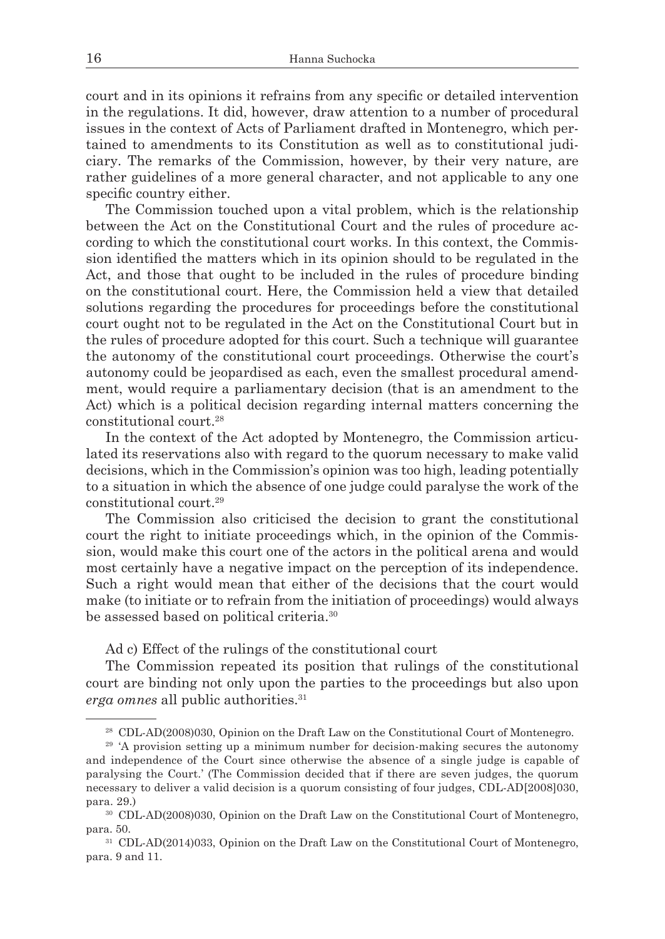court and in its opinions it refrains from any specific or detailed intervention in the regulations. It did, however, draw attention to a number of procedural issues in the context of Acts of Parliament drafted in Montenegro, which pertained to amendments to its Constitution as well as to constitutional judiciary. The remarks of the Commission, however, by their very nature, are rather guidelines of a more general character, and not applicable to any one specific country either.

The Commission touched upon a vital problem, which is the relationship between the Act on the Constitutional Court and the rules of procedure according to which the constitutional court works. In this context, the Commission identified the matters which in its opinion should to be regulated in the Act, and those that ought to be included in the rules of procedure binding on the constitutional court. Here, the Commission held a view that detailed solutions regarding the procedures for proceedings before the constitutional court ought not to be regulated in the Act on the Constitutional Court but in the rules of procedure adopted for this court. Such a technique will guarantee the autonomy of the constitutional court proceedings. Otherwise the court's autonomy could be jeopardised as each, even the smallest procedural amendment, would require a parliamentary decision (that is an amendment to the Act) which is a political decision regarding internal matters concerning the constitutional court.28

In the context of the Act adopted by Montenegro, the Commission articulated its reservations also with regard to the quorum necessary to make valid decisions, which in the Commission's opinion was too high, leading potentially to a situation in which the absence of one judge could paralyse the work of the constitutional court.29

The Commission also criticised the decision to grant the constitutional court the right to initiate proceedings which, in the opinion of the Commission, would make this court one of the actors in the political arena and would most certainly have a negative impact on the perception of its independence. Such a right would mean that either of the decisions that the court would make (to initiate or to refrain from the initiation of proceedings) would always be assessed based on political criteria.30

Ad c) Effect of the rulings of the constitutional court

The Commission repeated its position that rulings of the constitutional court are binding not only upon the parties to the proceedings but also upon *erga omnes* all public authorities.<sup>31</sup>

<sup>28</sup> CDL-AD(2008)030, Opinion on the Draft Law on the Constitutional Court of Montenegro.

<sup>&</sup>lt;sup>29</sup> 'A provision setting up a minimum number for decision-making secures the autonomy and independence of the Court since otherwise the absence of a single judge is capable of paralysing the Court.' (The Commission decided that if there are seven judges, the quorum necessary to deliver a valid decision is a quorum consisting of four judges, CDL-AD[2008]030, para. 29.)

<sup>30</sup> CDL-AD(2008)030, Opinion on the Draft Law on the Constitutional Court of Montenegro, para. 50.

<sup>31</sup> CDL-AD(2014)033, Opinion on the Draft Law on the Constitutional Court of Montenegro, para. 9 and 11.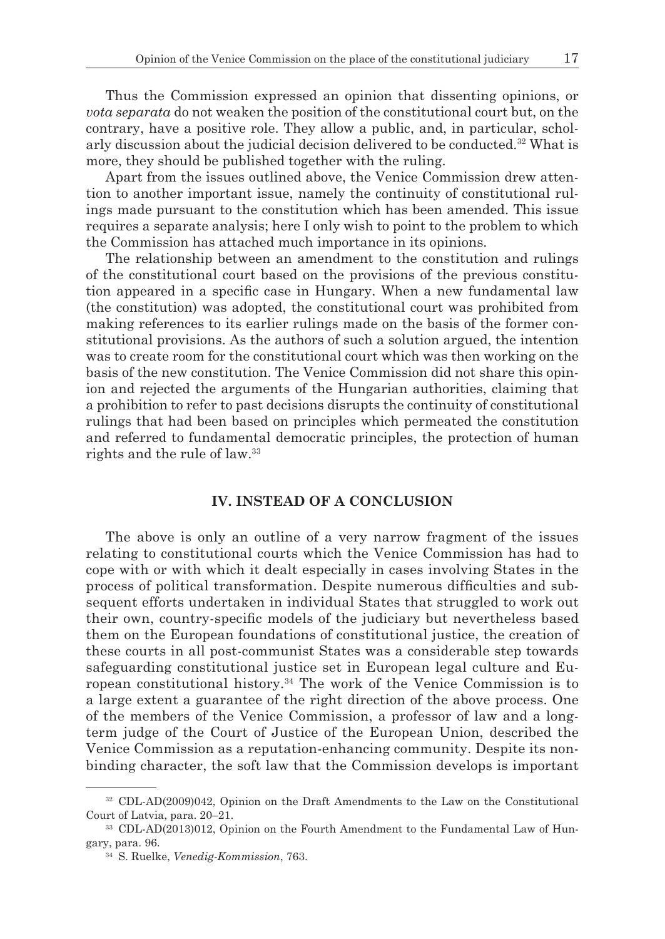Thus the Commission expressed an opinion that dissenting opinions, or *vota separata* do not weaken the position of the constitutional court but, on the contrary, have a positive role. They allow a public, and, in particular, scholarly discussion about the judicial decision delivered to be conducted.<sup>32</sup> What is more, they should be published together with the ruling.

Apart from the issues outlined above, the Venice Commission drew attention to another important issue, namely the continuity of constitutional rulings made pursuant to the constitution which has been amended. This issue requires a separate analysis; here I only wish to point to the problem to which the Commission has attached much importance in its opinions.

The relationship between an amendment to the constitution and rulings of the constitutional court based on the provisions of the previous constitution appeared in a specific case in Hungary. When a new fundamental law (the constitution) was adopted, the constitutional court was prohibited from making references to its earlier rulings made on the basis of the former constitutional provisions. As the authors of such a solution argued, the intention was to create room for the constitutional court which was then working on the basis of the new constitution. The Venice Commission did not share this opinion and rejected the arguments of the Hungarian authorities, claiming that a prohibition to refer to past decisions disrupts the continuity of constitutional rulings that had been based on principles which permeated the constitution and referred to fundamental democratic principles, the protection of human rights and the rule of law.33

## **IV. INSTEAD OF A CONCLUSION**

The above is only an outline of a very narrow fragment of the issues relating to constitutional courts which the Venice Commission has had to cope with or with which it dealt especially in cases involving States in the process of political transformation. Despite numerous difficulties and subsequent efforts undertaken in individual States that struggled to work out their own, country-specific models of the judiciary but nevertheless based them on the European foundations of constitutional justice, the creation of these courts in all post-communist States was a considerable step towards safeguarding constitutional justice set in European legal culture and European constitutional history.34 The work of the Venice Commission is to a large extent a guarantee of the right direction of the above process. One of the members of the Venice Commission, a professor of law and a longterm judge of the Court of Justice of the European Union, described the Venice Commission as a reputation-enhancing community. Despite its nonbinding character, the soft law that the Commission develops is important

<sup>32</sup> CDL-AD(2009)042, Opinion on the Draft Amendments to the Law on the Constitutional Court of Latvia, para. 20–21.

<sup>33</sup> CDL-AD(2013)012, Opinion on the Fourth Amendment to the Fundamental Law of Hungary, para. 96. 34 S. Ruelke, *Venedig-Kommission*, 763.